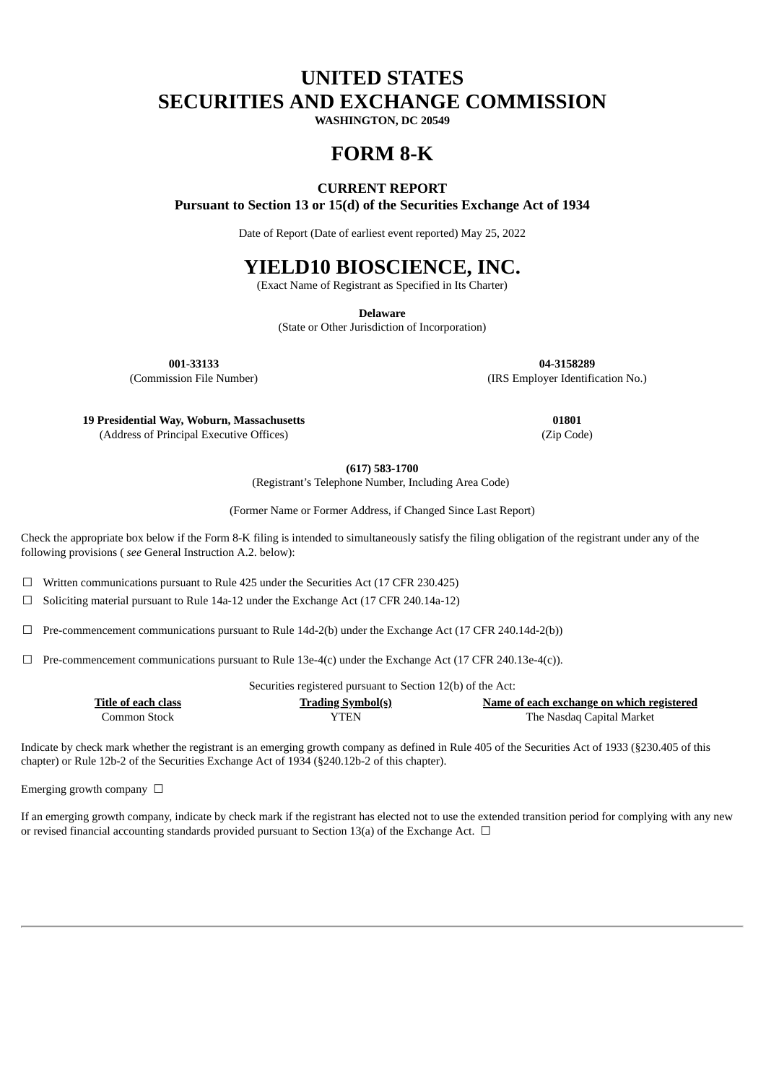# **UNITED STATES SECURITIES AND EXCHANGE COMMISSION**

**WASHINGTON, DC 20549**

## **FORM 8-K**

### **CURRENT REPORT**

**Pursuant to Section 13 or 15(d) of the Securities Exchange Act of 1934**

Date of Report (Date of earliest event reported) May 25, 2022

## **YIELD10 BIOSCIENCE, INC.**

(Exact Name of Registrant as Specified in Its Charter)

**Delaware**

(State or Other Jurisdiction of Incorporation)

**001-33133 04-3158289**

(Commission File Number) (IRS Employer Identification No.)

**19 Presidential Way, Woburn, Massachusetts 01801**

(Address of Principal Executive Offices) (Zip Code)

**(617) 583-1700**

(Registrant's Telephone Number, Including Area Code)

(Former Name or Former Address, if Changed Since Last Report)

Check the appropriate box below if the Form 8-K filing is intended to simultaneously satisfy the filing obligation of the registrant under any of the following provisions ( *see* General Instruction A.2. below):

☐ Written communications pursuant to Rule 425 under the Securities Act (17 CFR 230.425)

☐ Soliciting material pursuant to Rule 14a-12 under the Exchange Act (17 CFR 240.14a-12)

 $\Box$  Pre-commencement communications pursuant to Rule 14d-2(b) under the Exchange Act (17 CFR 240.14d-2(b))

 $\Box$  Pre-commencement communications pursuant to Rule 13e-4(c) under the Exchange Act (17 CFR 240.13e-4(c)).

Securities registered pursuant to Section 12(b) of the Act:

| Title of each class | <b>Trading Symbol(s)</b> | Name of each exchange on which registered |
|---------------------|--------------------------|-------------------------------------------|
| Common Stock        | YTEN                     | The Nasdag Capital Market                 |

Indicate by check mark whether the registrant is an emerging growth company as defined in Rule 405 of the Securities Act of 1933 (§230.405 of this chapter) or Rule 12b-2 of the Securities Exchange Act of 1934 (§240.12b-2 of this chapter).

Emerging growth company  $\Box$ 

If an emerging growth company, indicate by check mark if the registrant has elected not to use the extended transition period for complying with any new or revised financial accounting standards provided pursuant to Section 13(a) of the Exchange Act.  $\Box$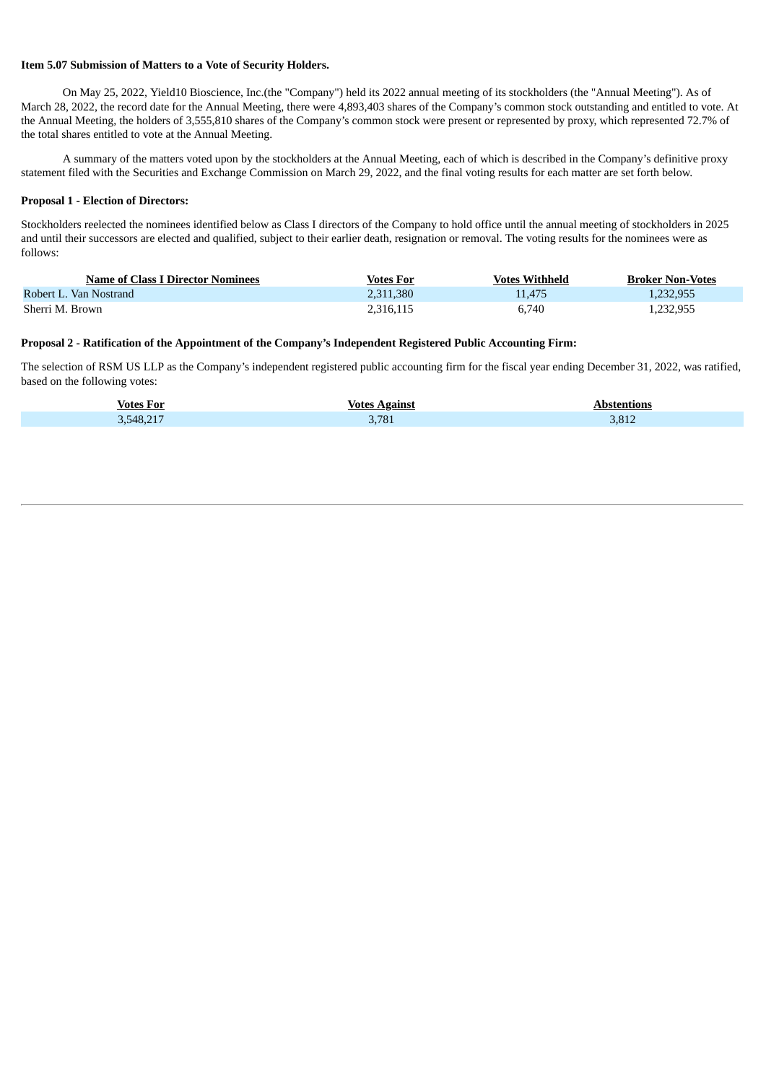#### **Item 5.07 Submission of Matters to a Vote of Security Holders.**

On May 25, 2022, Yield10 Bioscience, Inc.(the "Company") held its 2022 annual meeting of its stockholders (the "Annual Meeting"). As of March 28, 2022, the record date for the Annual Meeting, there were 4,893,403 shares of the Company's common stock outstanding and entitled to vote. At the Annual Meeting, the holders of 3,555,810 shares of the Company's common stock were present or represented by proxy, which represented 72.7% of the total shares entitled to vote at the Annual Meeting.

A summary of the matters voted upon by the stockholders at the Annual Meeting, each of which is described in the Company's definitive proxy statement filed with the Securities and Exchange Commission on March 29, 2022, and the final voting results for each matter are set forth below.

#### **Proposal 1 - Election of Directors:**

Stockholders reelected the nominees identified below as Class I directors of the Company to hold office until the annual meeting of stockholders in 2025 and until their successors are elected and qualified, subject to their earlier death, resignation or removal. The voting results for the nominees were as follows:

| <b>Name of Class I Director Nominees</b> | <b>Votes For</b> | <b>Votes Withheld</b> | <b>Broker Non-Votes</b> |
|------------------------------------------|------------------|-----------------------|-------------------------|
| Robert L. Van Nostrand                   | 2,311,380        | 11.475                | 1.232.955               |
| Sherri M. Brown                          | 2,316,115        | 6.740                 | 1,232,955               |

#### **Proposal 2 - Ratification of the Appointment of the Company's Independent Registered Public Accounting Firm:**

The selection of RSM US LLP as the Company's independent registered public accounting firm for the fiscal year ending December 31, 2022, was ratified, based on the following votes:

| <b>Votes For</b> | <b>Votes Against</b> | Abstentions |
|------------------|----------------------|-------------|
| 3,548,217        | 3,781                | 3,812       |